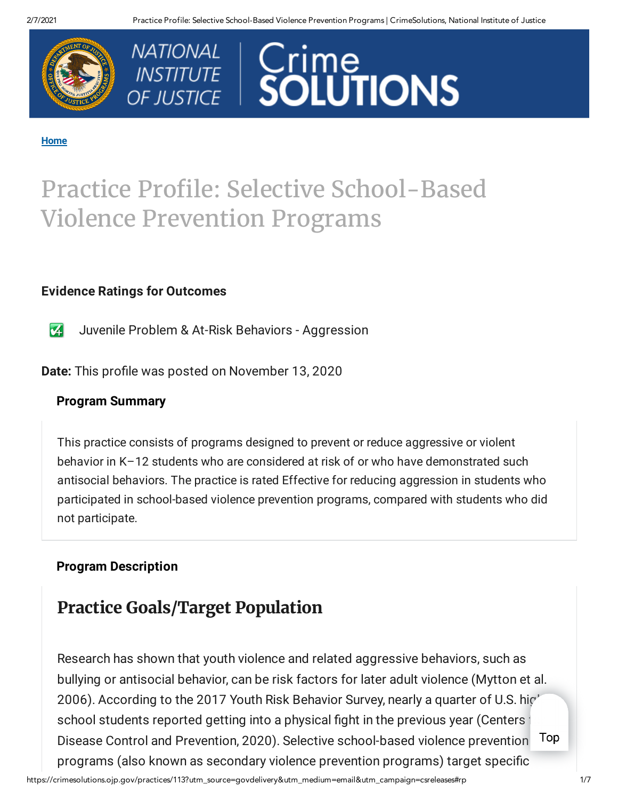



#### **[Home](https://crimesolutions.ojp.gov/)**

# Practice Profile: Selective School-Based Violence Prevention Programs

#### **Evidence Ratings for Outcomes**

 $\overline{\mathbf{z}}$ Juvenile Problem & At-Risk Behaviors - Aggression

**Date:** This profile was posted on November 13, 2020

#### **Program Summary**

This practice consists of programs designed to prevent or reduce aggressive or violent behavior in K–12 students who are considered at risk of or who have demonstrated such antisocial behaviors. The practice is rated Effective for reducing aggression in students who participated in school-based violence prevention programs, compared with students who did not participate.

#### **Program Description**

## **Practice Goals/Target Population**

Research has shown that youth violence and related aggressive behaviors, such as bullying or antisocial behavior, can be risk factors for later adult violence (Mytton et al. 2006). According to the 2017 Youth Risk Behavior Survey, nearly a quarter of U.S. high school students reported getting into a physical fight in the previous year (Centers Disease Control and Prevention, 2020). Selective school-based violence prevention programs (also known as secondary violence prevention programs) target specific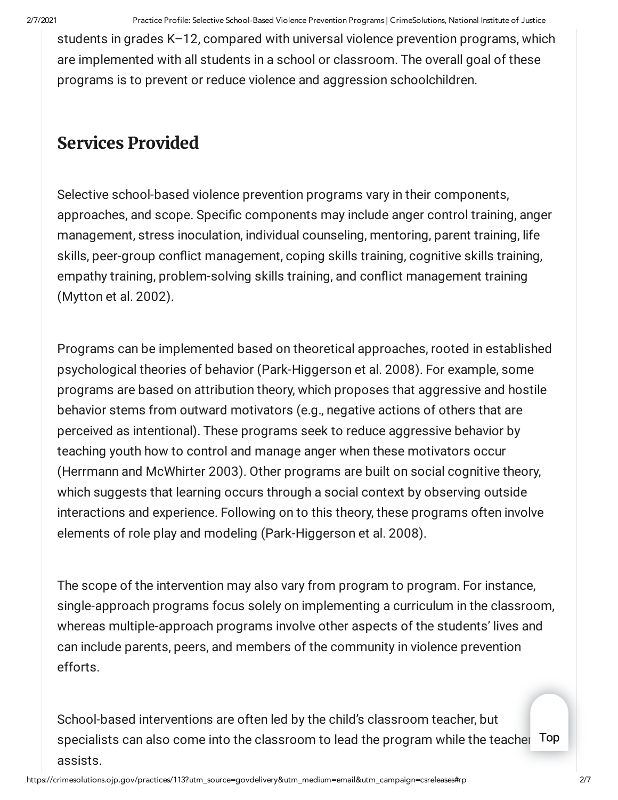students in grades K–12, compared with universal violence prevention programs, which are implemented with all students in a school or classroom. The overall goal of these programs is to prevent or reduce violence and aggression schoolchildren.

## **Services Provided**

Selective school-based violence prevention programs vary in their components, approaches, and scope. Specific components may include anger control training, anger management, stress inoculation, individual counseling, mentoring, parent training, life skills, peer-group conflict management, coping skills training, cognitive skills training, empathy training, problem-solving skills training, and conflict management training (Mytton et al. 2002).

Programs can be implemented based on theoretical approaches, rooted in established psychological theories of behavior (Park-Higgerson et al. 2008). For example, some programs are based on attribution theory, which proposes that aggressive and hostile behavior stems from outward motivators (e.g., negative actions of others that are perceived as intentional). These programs seek to reduce aggressive behavior by teaching youth how to control and manage anger when these motivators occur (Herrmann and McWhirter 2003). Other programs are built on social cognitive theory, which suggests that learning occurs through a social context by observing outside interactions and experience. Following on to this theory, these programs often involve elements of role play and modeling (Park-Higgerson et al. 2008).

The scope of the intervention may also vary from program to program. For instance, single-approach programs focus solely on implementing a curriculum in the classroom, whereas multiple-approach programs involve other aspects of the students' lives and can include parents, peers, and members of the community in violence prevention efforts.

School-based interventions are often led by the child's classroom teacher, but specialists can also come into the classroom to lead the program while the teacher Top assists.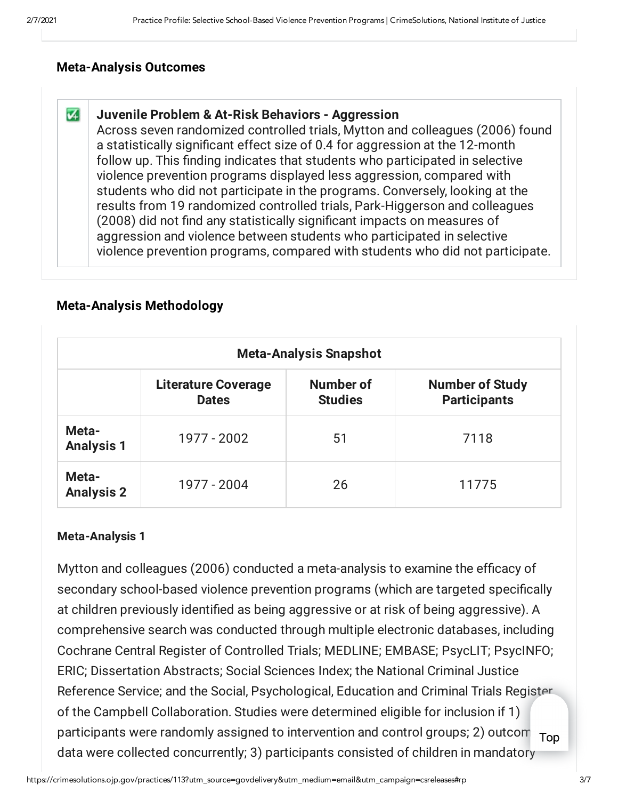#### **Meta-Analysis Outcomes**

#### $\overline{\mathbf{v}}$ **Juvenile Problem & At-Risk Behaviors - Aggression**

Across seven randomized controlled trials, Mytton and colleagues (2006) found a statistically significant effect size of 0.4 for aggression at the 12-month follow up. This finding indicates that students who participated in selective violence prevention programs displayed less aggression, compared with students who did not participate in the programs. Conversely, looking at the results from 19 randomized controlled trials, Park-Higgerson and colleagues (2008) did not find any statistically significant impacts on measures of aggression and violence between students who participated in selective violence prevention programs, compared with students who did not participate.

### **Meta-Analysis Methodology**

| <b>Meta-Analysis Snapshot</b> |                                            |                             |                                               |
|-------------------------------|--------------------------------------------|-----------------------------|-----------------------------------------------|
|                               | <b>Literature Coverage</b><br><b>Dates</b> | Number of<br><b>Studies</b> | <b>Number of Study</b><br><b>Participants</b> |
| Meta-<br><b>Analysis 1</b>    | 1977 - 2002                                | 51                          | 7118                                          |
| Meta-<br><b>Analysis 2</b>    | 1977 - 2004                                | 26                          | 11775                                         |

#### **Meta-Analysis 1**

Mytton and colleagues (2006) conducted a meta-analysis to examine the efficacy of secondary school-based violence prevention programs (which are targeted specifically at children previously identified as being aggressive or at risk of being aggressive). A comprehensive search was conducted through multiple electronic databases, including Cochrane Central Register of Controlled Trials; MEDLINE; EMBASE; PsycLIT; PsycINFO; ERIC; Dissertation Abstracts; Social Sciences Index; the National Criminal Justice Reference Service; and the Social, Psychological, Education and Criminal Trials Register of the Campbell Collaboration. Studies were determined eligible for inclusion if 1) participants were randomly assigned to intervention and control groups; 2) outcom  $\tau_{\text{OD}}$ data were collected concurrently; 3) participants consisted of children in mandatory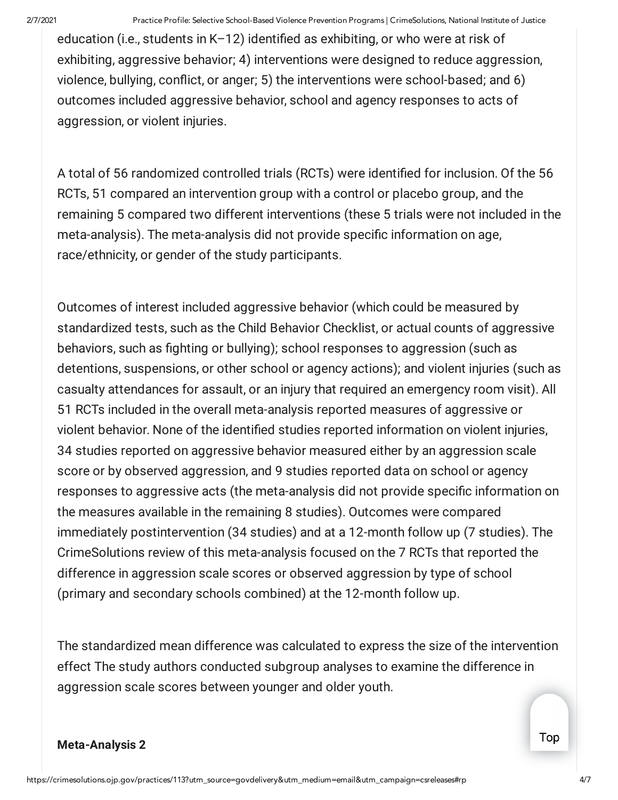education (i.e., students in K–12) identified as exhibiting, or who were at risk of exhibiting, aggressive behavior; 4) interventions were designed to reduce aggression, violence, bullying, conflict, or anger; 5) the interventions were school-based; and 6) outcomes included aggressive behavior, school and agency responses to acts of aggression, or violent injuries.

A total of 56 randomized controlled trials (RCTs) were identified for inclusion. Of the 56 RCTs, 51 compared an intervention group with a control or placebo group, and the remaining 5 compared two different interventions (these 5 trials were not included in the meta-analysis). The meta-analysis did not provide specific information on age, race/ethnicity, or gender of the study participants.

Outcomes of interest included aggressive behavior (which could be measured by standardized tests, such as the Child Behavior Checklist, or actual counts of aggressive behaviors, such as fighting or bullying); school responses to aggression (such as detentions, suspensions, or other school or agency actions); and violent injuries (such as casualty attendances for assault, or an injury that required an emergency room visit). All 51 RCTs included in the overall meta-analysis reported measures of aggressive or violent behavior. None of the identified studies reported information on violent injuries, 34 studies reported on aggressive behavior measured either by an aggression scale score or by observed aggression, and 9 studies reported data on school or agency responses to aggressive acts (the meta-analysis did not provide specific information on the measures available in the remaining 8 studies). Outcomes were compared immediately postintervention (34 studies) and at a 12-month follow up (7 studies). The CrimeSolutions review of this meta-analysis focused on the 7 RCTs that reported the difference in aggression scale scores or observed aggression by type of school (primary and secondary schools combined) at the 12-month follow up.

The standardized mean difference was calculated to express the size of the intervention effect The study authors conducted subgroup analyses to examine the difference in aggression scale scores between younger and older youth.

#### **Meta-Analysis 2**

Top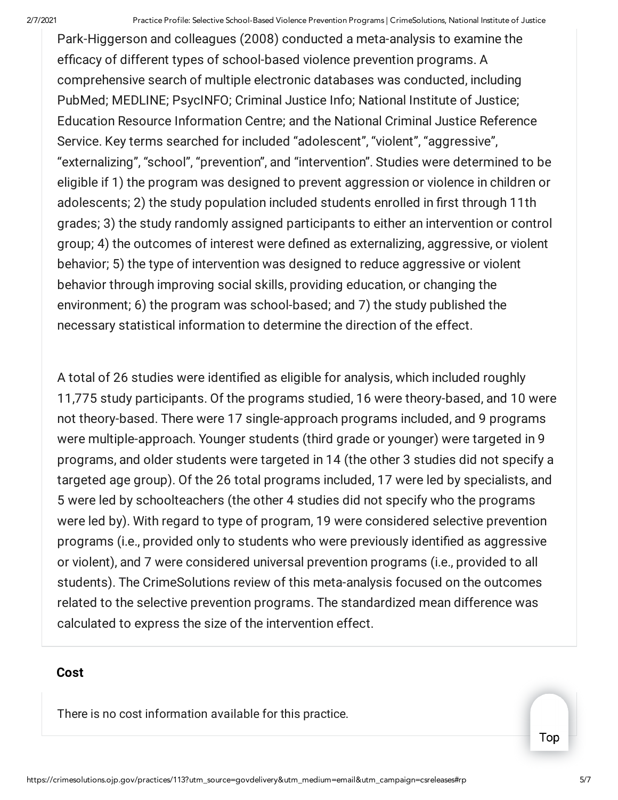Park-Higgerson and colleagues (2008) conducted a meta-analysis to examine the efficacy of different types of school-based violence prevention programs. A comprehensive search of multiple electronic databases was conducted, including PubMed; MEDLINE; PsycINFO; Criminal Justice Info; National Institute of Justice; Education Resource Information Centre; and the National Criminal Justice Reference Service. Key terms searched for included "adolescent", "violent", "aggressive", "externalizing", "school", "prevention", and "intervention". Studies were determined to be eligible if 1) the program was designed to prevent aggression or violence in children or adolescents; 2) the study population included students enrolled in first through 11th grades; 3) the study randomly assigned participants to either an intervention or control group; 4) the outcomes of interest were defined as externalizing, aggressive, or violent behavior; 5) the type of intervention was designed to reduce aggressive or violent behavior through improving social skills, providing education, or changing the environment; 6) the program was school-based; and 7) the study published the necessary statistical information to determine the direction of the effect.

A total of 26 studies were identified as eligible for analysis, which included roughly 11,775 study participants. Of the programs studied, 16 were theory-based, and 10 were not theory-based. There were 17 single-approach programs included, and 9 programs were multiple-approach. Younger students (third grade or younger) were targeted in 9 programs, and older students were targeted in 14 (the other 3 studies did not specify a targeted age group). Of the 26 total programs included, 17 were led by specialists, and 5 were led by schoolteachers (the other 4 studies did not specify who the programs were led by). With regard to type of program, 19 were considered selective prevention programs (i.e., provided only to students who were previously identified as aggressive or violent), and 7 were considered universal prevention programs (i.e., provided to all students). The CrimeSolutions review of this meta-analysis focused on the outcomes related to the selective prevention programs. The standardized mean difference was calculated to express the size of the intervention effect.

#### **Cost**

There is no cost information available for this practice.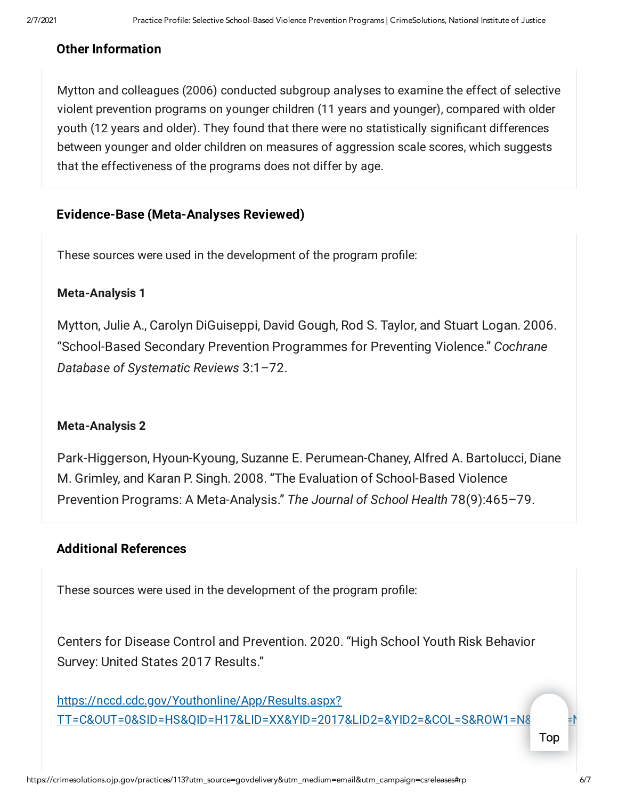#### **Other Information**

Mytton and colleagues (2006) conducted subgroup analyses to examine the effect of selective violent prevention programs on younger children (11 years and younger), compared with older youth (12 years and older). They found that there were no statistically significant differences between younger and older children on measures of aggression scale scores, which suggests that the effectiveness of the programs does not differ by age.

#### **Evidence-Base (Meta-Analyses Reviewed)**

These sources were used in the development of the program profile:

#### **Meta-Analysis 1**

Mytton, Julie A., Carolyn DiGuiseppi, David Gough, Rod S. Taylor, and Stuart Logan. 2006. "School-Based Secondary Prevention Programmes for Preventing Violence." *Cochrane Database of Systematic Reviews* 3:1–72.

#### **Meta-Analysis 2**

Park-Higgerson, Hyoun-Kyoung, Suzanne E. Perumean-Chaney, Alfred A. Bartolucci, Diane M. Grimley, and Karan P. Singh. 2008. "The Evaluation of School-Based Violence Prevention Programs: A Meta-Analysis." *The Journal of School Health* 78(9):465–79.

#### **Additional References**

These sources were used in the development of the program profile:

Centers for Disease Control and Prevention. 2020. "High School Youth Risk Behavior Survey: United States 2017 Results."

https://nccd.cdc.gov/Youthonline/App/Results.aspx? [TT=C&OUT=0&SID=HS&QID=H17&LID=XX&YID=2017&LID2=&YID2=&COL=S&ROW1=N&ROW2=N](https://nccd.cdc.gov/Youthonline/App/Results.aspx?TT=C&OUT=0&SID=HS&QID=H17&LID=XX&YID=2017&LID2=&YID2=&COL=S&ROW1=N&ROW2=N&HT=QQ&LCT=LL&FS=S1&FR=R1&FG=G1&FA=A1&FI=I1&FP=P1&FSL=S1&FRL=R1&FGL=G1&FAL=A1&FIL=I1&FPL=P1&PV=&TST=False&C1=&C2=&QP=G&DP=1&VA=CI&CS=Y&SYID=&EYID=&SC=DEFAULT&SO=ASC)